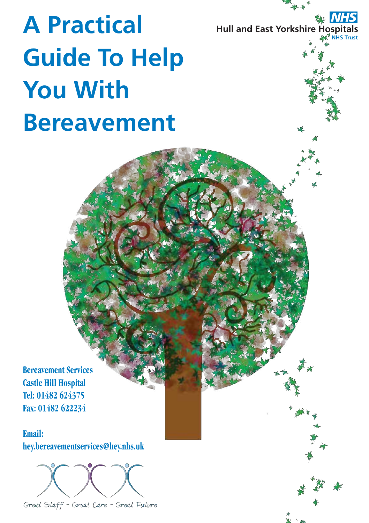**Hull and East Yorkshire Hospitals NHS Trust** *NHS*

# **A Practical Guide To Help You With Bereavement**

**Bereavement Services Castle Hill Hospital Tel: 01482 624375 Fax: 01482 622234**

**Email: hey.bereavementservices@hey.nhs.uk**



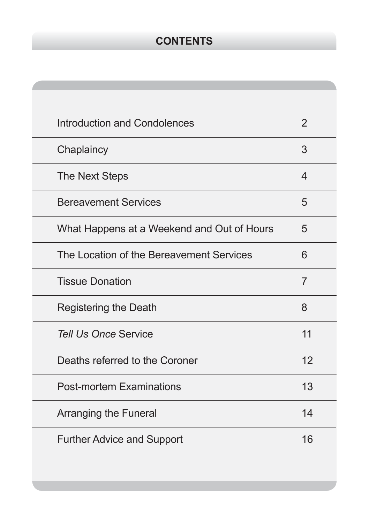# **CONTENTS**

| Introduction and Condolences               | $\overline{2}$           |
|--------------------------------------------|--------------------------|
| Chaplaincy                                 | 3                        |
| The Next Steps                             | $\overline{\mathcal{A}}$ |
| <b>Bereavement Services</b>                | 5                        |
| What Happens at a Weekend and Out of Hours | 5                        |
| The Location of the Bereavement Services   | 6                        |
| <b>Tissue Donation</b>                     | $\overline{7}$           |
| <b>Registering the Death</b>               | 8                        |
| <b>Tell Us Once Service</b>                | 11                       |
| Deaths referred to the Coroner             | 12                       |
| <b>Post-mortem Examinations</b>            | 13                       |
| <b>Arranging the Funeral</b>               | 14                       |
| <b>Further Advice and Support</b>          | 16                       |
|                                            |                          |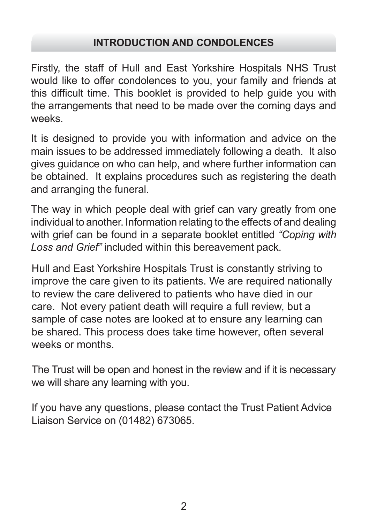### **INTRODUCTION AND CONDOLENCES**

Firstly, the staff of Hull and East Yorkshire Hospitals NHS Trust would like to offer condolences to you, your family and friends at this difficult time. This booklet is provided to help guide you with the arrangements that need to be made over the coming days and weeks.

It is designed to provide you with information and advice on the main issues to be addressed immediately following a death. It also gives guidance on who can help, and where further information can be obtained. It explains procedures such as registering the death and arranging the funeral.

The way in which people deal with grief can vary greatly from one individual to another. Information relating to the effects of and dealing with grief can be found in a separate booklet entitled *"Coping with Loss and Grief"* included within this bereavement pack.

Hull and East Yorkshire Hospitals Trust is constantly striving to improve the care given to its patients. We are required nationally to review the care delivered to patients who have died in our care. Not every patient death will require a full review, but a sample of case notes are looked at to ensure any learning can be shared. This process does take time however, often several weeks or months.

The Trust will be open and honest in the review and if it is necessary we will share any learning with you.

If you have any questions, please contact the Trust Patient Advice Liaison Service on (01482) 673065.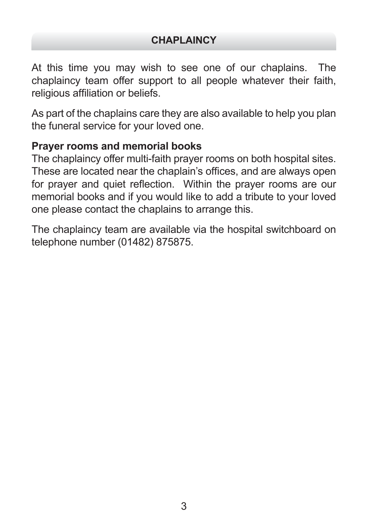At this time you may wish to see one of our chaplains. The chaplaincy team offer support to all people whatever their faith, religious affiliation or beliefs.

As part of the chaplains care they are also available to help you plan the funeral service for your loved one.

#### **Prayer rooms and memorial books**

The chaplaincy offer multi-faith prayer rooms on both hospital sites. These are located near the chaplain's offices, and are always open for prayer and quiet reflection. Within the prayer rooms are our memorial books and if you would like to add a tribute to your loved one please contact the chaplains to arrange this.

The chaplaincy team are available via the hospital switchboard on telephone number (01482) 875875.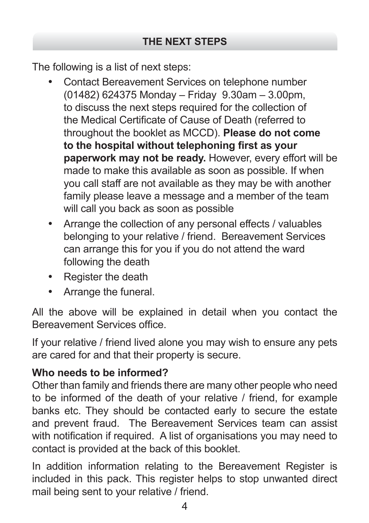The following is a list of next steps:

- Contact Bereavement Services on telephone number (01482) 624375 Monday – Friday 9.30am – 3.00pm, to discuss the next steps required for the collection of the Medical Certificate of Cause of Death (referred to throughout the booklet as MCCD). **Please do not come to the hospital without telephoning first as your paperwork may not be ready.** However, every effort will be made to make this available as soon as possible. If when you call staff are not available as they may be with another family please leave a message and a member of the team will call you back as soon as possible
- Arrange the collection of any personal effects / valuables belonging to your relative / friend. Bereavement Services can arrange this for you if you do not attend the ward following the death
- Register the death
- • Arrange the funeral.

All the above will be explained in detail when you contact the Bereavement Services office.

If your relative / friend lived alone you may wish to ensure any pets are cared for and that their property is secure.

# **Who needs to be informed?**

Other than family and friends there are many other people who need to be informed of the death of your relative / friend, for example banks etc. They should be contacted early to secure the estate and prevent fraud. The Bereavement Services team can assist with notification if required. A list of organisations you may need to contact is provided at the back of this booklet.

In addition information relating to the Bereavement Register is included in this pack. This register helps to stop unwanted direct mail being sent to your relative / friend.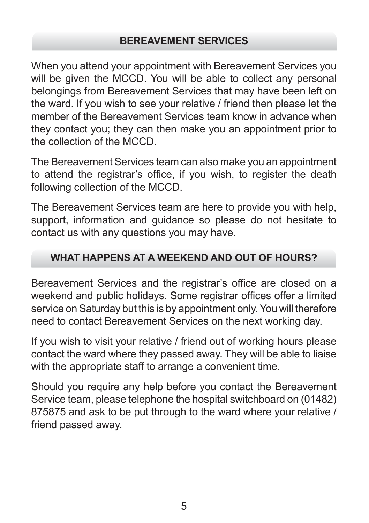## **BEREAVEMENT SERVICES**

When you attend your appointment with Bereavement Services you will be given the MCCD. You will be able to collect any personal belongings from Bereavement Services that may have been left on the ward. If you wish to see your relative / friend then please let the member of the Bereavement Services team know in advance when they contact you; they can then make you an appointment prior to the collection of the MCCD.

The Bereavement Services team can also make you an appointment to attend the registrar's office, if you wish, to register the death following collection of the MCCD.

The Bereavement Services team are here to provide you with help, support, information and guidance so please do not hesitate to contact us with any questions you may have.

# **WHAT HAPPENS AT A WEEKEND AND OUT OF HOURS?**

Bereavement Services and the registrar's office are closed on a weekend and public holidays. Some registrar offices offer a limited service on Saturday but this is by appointment only. You will therefore need to contact Bereavement Services on the next working day.

If you wish to visit your relative / friend out of working hours please contact the ward where they passed away. They will be able to liaise with the appropriate staff to arrange a convenient time.

Should you require any help before you contact the Bereavement Service team, please telephone the hospital switchboard on (01482) 875875 and ask to be put through to the ward where your relative / friend passed away.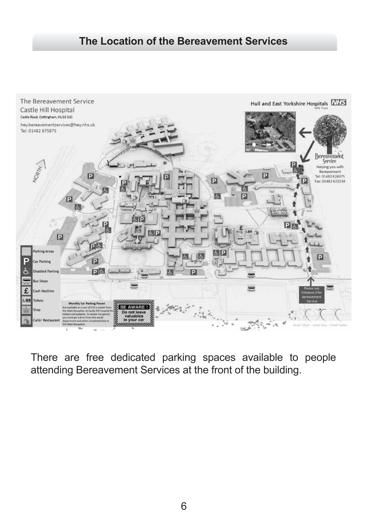## **The Location of the Bereavement Services**



There are free dedicated parking spaces available to people attending Bereavement Services at the front of the building.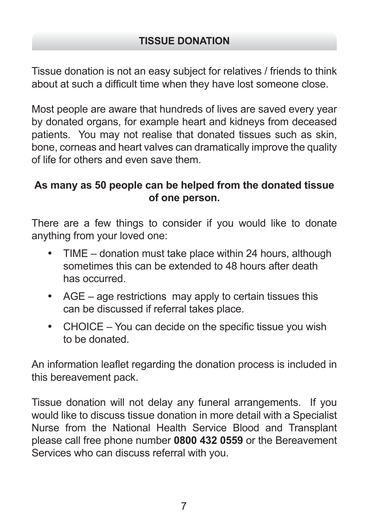Tissue donation is not an easy subject for relatives / friends to think about at such a difficult time when they have lost someone close.

Most people are aware that hundreds of lives are saved every year by donated organs, for example heart and kidneys from deceased patients. You may not realise that donated tissues such as skin, bone, corneas and heart valves can dramatically improve the quality of life for others and even save them.

# **As many as 50 people can be helped from the donated tissue of one person.**

There are a few things to consider if you would like to donate anything from your loved one:

- $TIME -$  donation must take place within 24 hours, although sometimes this can be extended to 48 hours after death has occurred.
- AGE age restrictions may apply to certain tissues this can be discussed if referral takes place.
- CHOICE You can decide on the specific tissue you wish to be donated.

An information leaflet regarding the donation process is included in this bereavement pack.

Tissue donation will not delay any funeral arrangements. If you would like to discuss tissue donation in more detail with a Specialist Nurse from the National Health Service Blood and Transplant please call free phone number **0800 432 0559** or the Bereavement Services who can discuss referral with you.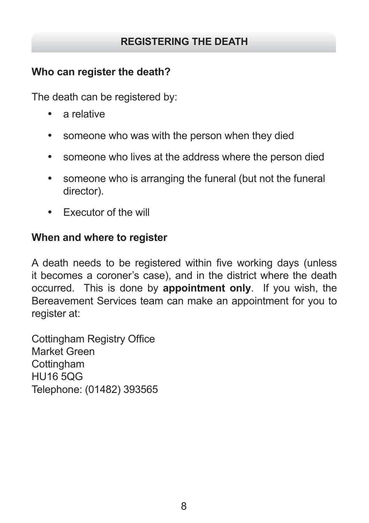# **REGISTERING THE DEATH**

# **Who can register the death?**

The death can be registered by:

- a relative
- someone who was with the person when they died
- someone who lives at the address where the person died
- someone who is arranging the funeral (but not the funeral director).
- • Executor of the will

## **When and where to register**

A death needs to be registered within five working days (unless it becomes a coroner's case), and in the district where the death occurred. This is done by **appointment only**. If you wish, the Bereavement Services team can make an appointment for you to register at:

Cottingham Registry Office Market Green **Cottingham** HU16 5QG Telephone: (01482) 393565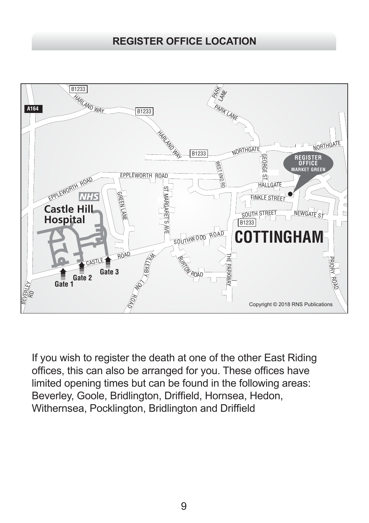# **REGISTER OFFICE LOCATION**



If you wish to register the death at one of the other East Riding offices, this can also be arranged for you. These offices have limited opening times but can be found in the following areas: Beverley, Goole, Bridlington, Driffield, Hornsea, Hedon, Withernsea, Pocklington, Bridlington and Driffield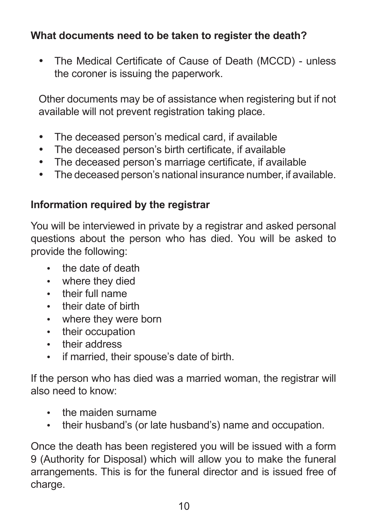# **What documents need to be taken to register the death?**

• The Medical Certificate of Cause of Death (MCCD) - unless the coroner is issuing the paperwork.

Other documents may be of assistance when registering but if not available will not prevent registration taking place.

- The deceased person's medical card, if available
- The deceased person's birth certificate, if available
- The deceased person's marriage certificate, if available
- The deceased person's national insurance number, if available.

# **Information required by the registrar**

You will be interviewed in private by a registrar and asked personal questions about the person who has died. You will be asked to provide the following:

- the date of death
- where they died
- • their full name
- • their date of birth
- • where they were born
- their occupation
- their address
- • if married, their spouse's date of birth.

If the person who has died was a married woman, the registrar will also need to know:

- the maiden surname
- their husband's (or late husband's) name and occupation.

Once the death has been registered you will be issued with a form 9 (Authority for Disposal) which will allow you to make the funeral arrangements. This is for the funeral director and is issued free of charge.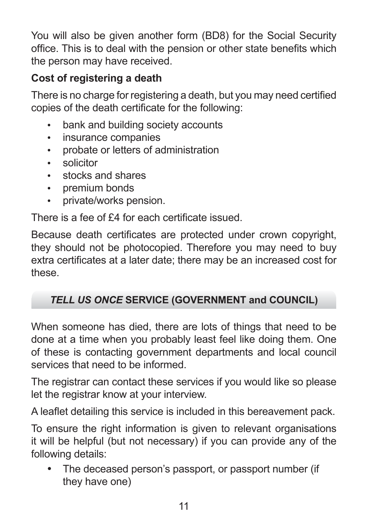You will also be given another form (BD8) for the Social Security office. This is to deal with the pension or other state benefits which the person may have received.

# **Cost of registering a death**

There is no charge for registering a death, but you may need certified copies of the death certificate for the following:

- bank and building society accounts
- • insurance companies
- • probate or letters of administration
- solicitor
- • stocks and shares
- • premium bonds
- • private/works pension.

There is a fee of £4 for each certificate issued.

Because death certificates are protected under crown copyright, they should not be photocopied. Therefore you may need to buy extra certificates at a later date; there may be an increased cost for these.

# *TELL US ONCE* **SERVICE (GOVERNMENT and COUNCIL)**

When someone has died, there are lots of things that need to be done at a time when you probably least feel like doing them. One of these is contacting government departments and local council services that need to be informed.

The registrar can contact these services if you would like so please let the registrar know at your interview.

A leaflet detailing this service is included in this bereavement pack.

To ensure the right information is given to relevant organisations it will be helpful (but not necessary) if you can provide any of the following details:

The deceased person's passport, or passport number (if they have one)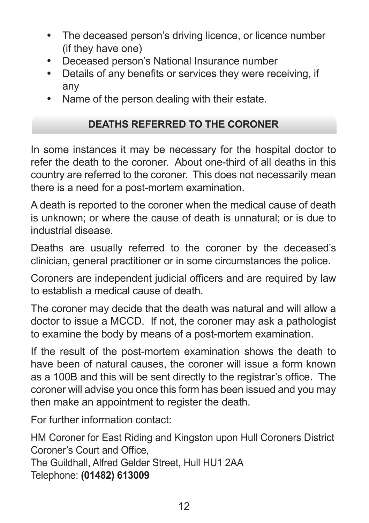- The deceased person's driving licence, or licence number (if they have one)
- • Deceased person's National Insurance number
- Details of any benefits or services they were receiving, if any
- Name of the person dealing with their estate.

# **DEATHS REFERRED TO THE CORONER**

In some instances it may be necessary for the hospital doctor to refer the death to the coroner. About one-third of all deaths in this country are referred to the coroner. This does not necessarily mean there is a need for a post-mortem examination.

A death is reported to the coroner when the medical cause of death is unknown; or where the cause of death is unnatural; or is due to industrial disease.

Deaths are usually referred to the coroner by the deceased's clinician, general practitioner or in some circumstances the police.

Coroners are independent judicial officers and are required by law to establish a medical cause of death.

The coroner may decide that the death was natural and will allow a doctor to issue a MCCD. If not, the coroner may ask a pathologist to examine the body by means of a post-mortem examination.

If the result of the post-mortem examination shows the death to have been of natural causes, the coroner will issue a form known as a 100B and this will be sent directly to the registrar's office. The coroner will advise you once this form has been issued and you may then make an appointment to register the death.

For further information contact:

HM Coroner for East Riding and Kingston upon Hull Coroners District Coroner's Court and Office, The Guildhall, Alfred Gelder Street, Hull HU1 2AA Telephone: **(01482) 613009**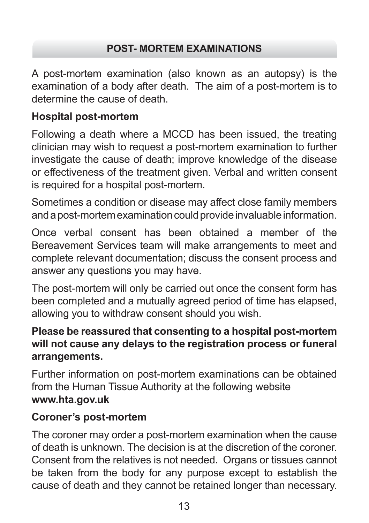# **POST- MORTEM EXAMINATIONS**

A post-mortem examination (also known as an autopsy) is the examination of a body after death. The aim of a post-mortem is to determine the cause of death.

# **Hospital post-mortem**

Following a death where a MCCD has been issued, the treating clinician may wish to request a post-mortem examination to further investigate the cause of death; improve knowledge of the disease or effectiveness of the treatment given. Verbal and written consent is required for a hospital post-mortem.

Sometimes a condition or disease may affect close family members and a post-mortem examination could provide invaluable information.

Once verbal consent has been obtained a member of the Bereavement Services team will make arrangements to meet and complete relevant documentation; discuss the consent process and answer any questions you may have.

The post-mortem will only be carried out once the consent form has been completed and a mutually agreed period of time has elapsed, allowing you to withdraw consent should you wish.

# **Please be reassured that consenting to a hospital post-mortem will not cause any delays to the registration process or funeral arrangements.**

Further information on post-mortem examinations can be obtained from the Human Tissue Authority at the following website **www.hta.gov.uk**

# **Coroner's post-mortem**

The coroner may order a post-mortem examination when the cause of death is unknown. The decision is at the discretion of the coroner. Consent from the relatives is not needed. Organs or tissues cannot be taken from the body for any purpose except to establish the cause of death and they cannot be retained longer than necessary.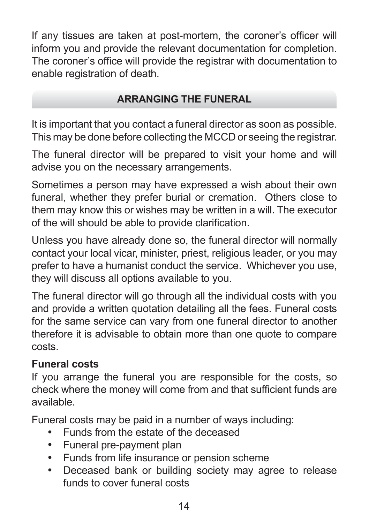If any tissues are taken at post-mortem, the coroner's officer will inform you and provide the relevant documentation for completion. The coroner's office will provide the registrar with documentation to enable registration of death.

## **ARRANGING THE FUNERAL**

It is important that you contact a funeral director as soon as possible. This may be done before collecting the MCCD or seeing the registrar.

The funeral director will be prepared to visit your home and will advise you on the necessary arrangements.

Sometimes a person may have expressed a wish about their own funeral, whether they prefer burial or cremation. Others close to them may know this or wishes may be written in a will. The executor of the will should be able to provide clarification.

Unless you have already done so, the funeral director will normally contact your local vicar, minister, priest, religious leader, or you may prefer to have a humanist conduct the service. Whichever you use, they will discuss all options available to you.

The funeral director will go through all the individual costs with you and provide a written quotation detailing all the fees. Funeral costs for the same service can vary from one funeral director to another therefore it is advisable to obtain more than one quote to compare costs.

# **Funeral costs**

If you arrange the funeral you are responsible for the costs, so check where the money will come from and that sufficient funds are available.

Funeral costs may be paid in a number of ways including:

- Funds from the estate of the deceased
- • Funeral pre-payment plan
- • Funds from life insurance or pension scheme
- • Deceased bank or building society may agree to release funds to cover funeral costs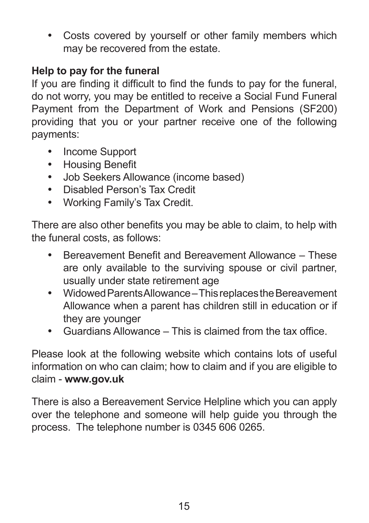• Costs covered by yourself or other family members which may be recovered from the estate.

# **Help to pay for the funeral**

If you are finding it difficult to find the funds to pay for the funeral, do not worry, you may be entitled to receive a Social Fund Funeral Payment from the Department of Work and Pensions (SF200) providing that you or your partner receive one of the following payments:

- Income Support
- • Housing Benefit
- • Job Seekers Allowance (income based)
- • Disabled Person's Tax Credit
- • Working Family's Tax Credit.

There are also other benefits you may be able to claim, to help with the funeral costs, as follows:

- Bereavement Benefit and Bereavement Allowance These are only available to the surviving spouse or civil partner, usually under state retirement age
- • Widowed Parents Allowance This replaces the Bereavement Allowance when a parent has children still in education or if they are younger
- • Guardians Allowance This is claimed from the tax office.

Please look at the following website which contains lots of useful information on who can claim; how to claim and if you are eligible to claim - **www.gov.uk**

There is also a Bereavement Service Helpline which you can apply over the telephone and someone will help guide you through the process. The telephone number is 0345 606 0265.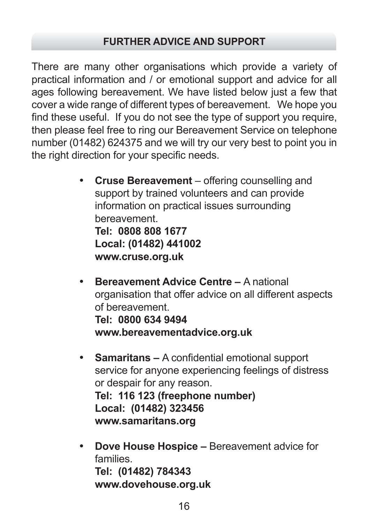There are many other organisations which provide a variety of practical information and / or emotional support and advice for all ages following bereavement. We have listed below just a few that cover a wide range of different types of bereavement. We hope you find these useful. If you do not see the type of support you require, then please feel free to ring our Bereavement Service on telephone number (01482) 624375 and we will try our very best to point you in the right direction for your specific needs.

> **Cruse Bereavement** – offering counselling and support by trained volunteers and can provide information on practical issues surrounding bereavement. **Tel: 0808 808 1677 Local: (01482) 441002**

**www.cruse.org.uk**

- • **Bereavement Advice Centre** A national organisation that offer advice on all different aspects of bereavement. **Tel: 0800 634 9494 www.bereavementadvice.org.uk**
- **Samaritans A confidential emotional support** service for anyone experiencing feelings of distress or despair for any reason. **Tel: 116 123 (freephone number) Local: (01482) 323456 www.samaritans.org**
- • **Dove House Hospice** Bereavement advice for families. **Tel: (01482) 784343 www.dovehouse.org.uk**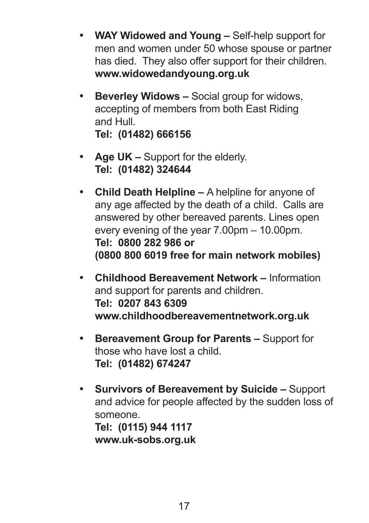- • **WAY Widowed and Young** Self-help support for men and women under 50 whose spouse or partner has died. They also offer support for their children. **www.widowedandyoung.org.uk**
- • **Beverley Widows** Social group for widows, accepting of members from both East Riding and Hull. **Tel: (01482) 666156**
- **Age UK –** Support for the elderly. **Tel: (01482) 324644**
- • **Child Death Helpline** A helpline for anyone of any age affected by the death of a child. Calls are answered by other bereaved parents. Lines open every evening of the year 7.00pm – 10.00pm. **Tel: 0800 282 986 or (0800 800 6019 free for main network mobiles)**
- • **Childhood Bereavement Network** Information and support for parents and children. **Tel: 0207 843 6309 www.childhoodbereavementnetwork.org.uk**
- • **Bereavement Group for Parents** Support for those who have lost a child. **Tel: (01482) 674247**
- • **Survivors of Bereavement by Suicide** Support and advice for people affected by the sudden loss of someone. **Tel: (0115) 944 1117**

**www.uk-sobs.org.uk**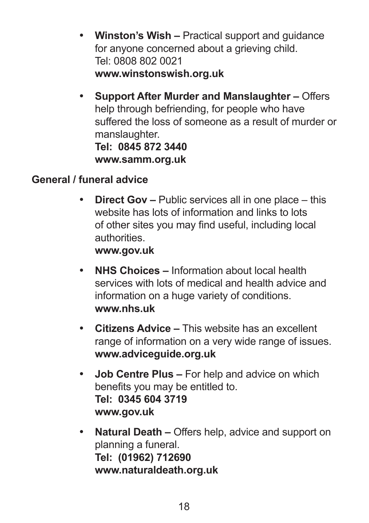- • **Winston's Wish** Practical support and guidance for anyone concerned about a grieving child. Tel: 0808 802 0021 **www.winstonswish.org.uk**
- • **Support After Murder and Manslaughter** Offers help through befriending, for people who have suffered the loss of someone as a result of murder or manslaughter. **Tel: 0845 872 3440 www.samm.org.uk**

## **General / funeral advice**

• **Direct Gov –** Public services all in one place – this website has lots of information and links to lots of other sites you may find useful, including local authorities.

#### **www.gov.uk**

- • **NHS Choices** Information about local health services with lots of medical and health advice and information on a huge variety of conditions. **www.nhs.uk**
- • **Citizens Advice** This website has an excellent range of information on a very wide range of issues. **www.adviceguide.org.uk**
- • **Job Centre Plus** For help and advice on which benefits you may be entitled to. **Tel: 0345 604 3719 www.gov.uk**
- • **Natural Death –** Offers help, advice and support on planning a funeral. **Tel: (01962) 712690 www.naturaldeath.org.uk**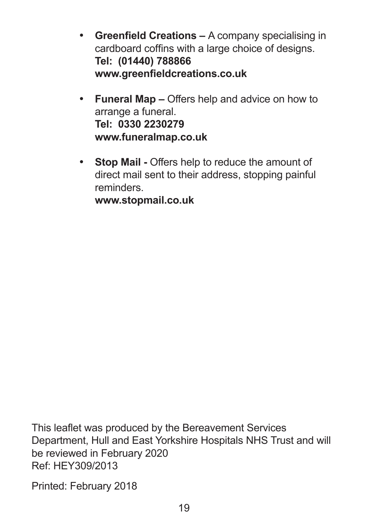- • **Greenfield Creations** A company specialising in cardboard coffins with a large choice of designs. **Tel: (01440) 788866 www.greenfieldcreations.co.uk**
- • **Funeral Map** Offers help and advice on how to arrange a funeral. **Tel: 0330 2230279 www.funeralmap.co.uk**
- • **Stop Mail** Offers help to reduce the amount of direct mail sent to their address, stopping painful reminders.

**www.stopmail.co.uk**

This leaflet was produced by the Bereavement Services Department, Hull and East Yorkshire Hospitals NHS Trust and will be reviewed in February 2020 Ref: HEY309/2013

Printed: February 2018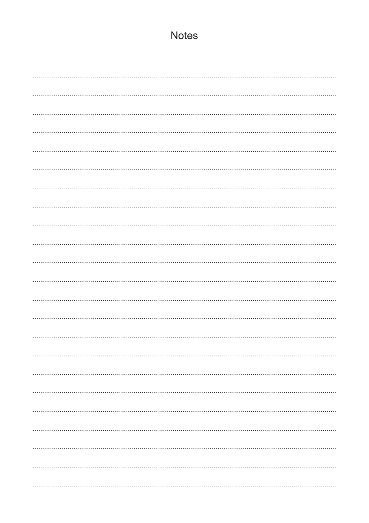# **Notes**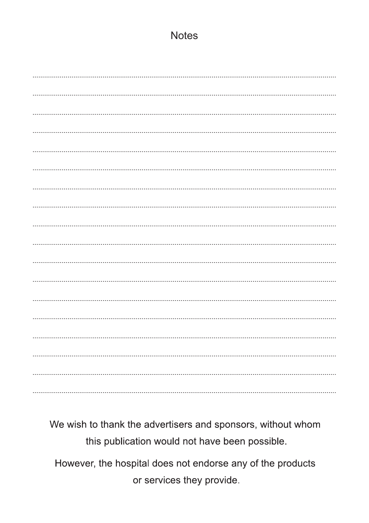## **Notes**

We wish to thank the advertisers and sponsors, without whom this publication would not have been possible.

However, the hospital does not endorse any of the products or services they provide.